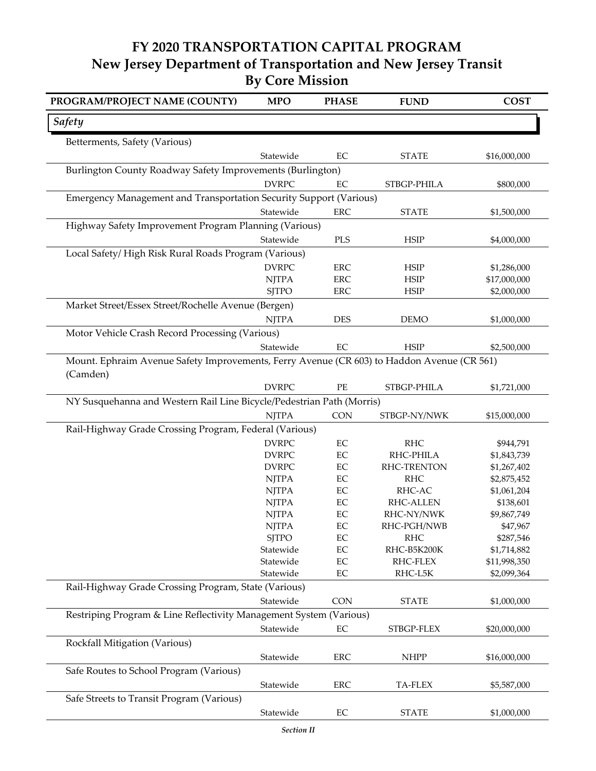## **FY 2020 TRANSPORTATION CAPITAL PROGRAM New Jersey Department of Transportation and New Jersey Transit By Core Mission**

| PROGRAM/PROJECT NAME (COUNTY)                                                              | <b>MPO</b>                | <b>PHASE</b>         | <b>FUND</b>             | <b>COST</b>              |  |  |  |
|--------------------------------------------------------------------------------------------|---------------------------|----------------------|-------------------------|--------------------------|--|--|--|
| Safety                                                                                     |                           |                      |                         |                          |  |  |  |
| Betterments, Safety (Various)                                                              |                           |                      |                         |                          |  |  |  |
|                                                                                            | Statewide                 | EC                   | <b>STATE</b>            | \$16,000,000             |  |  |  |
| Burlington County Roadway Safety Improvements (Burlington)                                 |                           |                      |                         |                          |  |  |  |
|                                                                                            | <b>DVRPC</b>              | EC                   | STBGP-PHILA             | \$800,000                |  |  |  |
| Emergency Management and Transportation Security Support (Various)                         |                           |                      |                         |                          |  |  |  |
|                                                                                            | Statewide                 | ERC                  | <b>STATE</b>            | \$1,500,000              |  |  |  |
| Highway Safety Improvement Program Planning (Various)                                      |                           |                      |                         |                          |  |  |  |
|                                                                                            | Statewide                 | PLS                  | <b>HSIP</b>             | \$4,000,000              |  |  |  |
| Local Safety/High Risk Rural Roads Program (Various)                                       |                           |                      |                         |                          |  |  |  |
|                                                                                            | <b>DVRPC</b>              | <b>ERC</b>           | <b>HSIP</b>             | \$1,286,000              |  |  |  |
|                                                                                            | <b>NJTPA</b>              | <b>ERC</b>           | <b>HSIP</b>             | \$17,000,000             |  |  |  |
|                                                                                            | <b>SJTPO</b>              | <b>ERC</b>           | <b>HSIP</b>             | \$2,000,000              |  |  |  |
| Market Street/Essex Street/Rochelle Avenue (Bergen)                                        |                           |                      |                         |                          |  |  |  |
|                                                                                            | <b>NJTPA</b>              | <b>DES</b>           | <b>DEMO</b>             | \$1,000,000              |  |  |  |
|                                                                                            |                           |                      |                         |                          |  |  |  |
| Motor Vehicle Crash Record Processing (Various)                                            |                           |                      |                         |                          |  |  |  |
|                                                                                            | Statewide                 | $\rm EC$             | <b>HSIP</b>             | \$2,500,000              |  |  |  |
| Mount. Ephraim Avenue Safety Improvements, Ferry Avenue (CR 603) to Haddon Avenue (CR 561) |                           |                      |                         |                          |  |  |  |
| (Camden)                                                                                   |                           |                      |                         |                          |  |  |  |
|                                                                                            | <b>DVRPC</b>              | $\rm PE$             | STBGP-PHILA             | \$1,721,000              |  |  |  |
| NY Susquehanna and Western Rail Line Bicycle/Pedestrian Path (Morris)                      |                           |                      |                         |                          |  |  |  |
|                                                                                            | <b>NJTPA</b>              | CON                  | STBGP-NY/NWK            | \$15,000,000             |  |  |  |
| Rail-Highway Grade Crossing Program, Federal (Various)                                     |                           |                      |                         |                          |  |  |  |
|                                                                                            | <b>DVRPC</b>              | $\rm EC$             | <b>RHC</b>              | \$944,791                |  |  |  |
|                                                                                            | <b>DVRPC</b>              | $\rm EC$             | RHC-PHILA               | \$1,843,739              |  |  |  |
|                                                                                            | <b>DVRPC</b>              | $\rm EC$             | RHC-TRENTON             | \$1,267,402              |  |  |  |
|                                                                                            | <b>NJTPA</b>              | EC                   | <b>RHC</b>              | \$2,875,452              |  |  |  |
|                                                                                            | <b>NJTPA</b>              | $\rm EC$             | RHC-AC                  | \$1,061,204              |  |  |  |
|                                                                                            | <b>NJTPA</b>              | $\rm EC$             | <b>RHC-ALLEN</b>        | \$138,601                |  |  |  |
|                                                                                            | <b>NJTPA</b>              | $\rm EC$             | RHC-NY/NWK              | \$9,867,749              |  |  |  |
|                                                                                            | <b>NJTPA</b>              | $\rm EC$             | RHC-PGH/NWB             | \$47,967                 |  |  |  |
|                                                                                            | <b>SJTPO</b><br>Statewide | EC                   | <b>RHC</b>              | \$287,546<br>\$1,714,882 |  |  |  |
|                                                                                            | Statewide                 | $\rm EC$<br>$\rm EC$ | RHC-B5K200K<br>RHC-FLEX | \$11,998,350             |  |  |  |
|                                                                                            | Statewide                 | $\rm EC$             | RHC-L5K                 | \$2,099,364              |  |  |  |
| Rail-Highway Grade Crossing Program, State (Various)                                       |                           |                      |                         |                          |  |  |  |
|                                                                                            |                           |                      |                         |                          |  |  |  |
|                                                                                            | Statewide                 | <b>CON</b>           | <b>STATE</b>            | \$1,000,000              |  |  |  |
| Restriping Program & Line Reflectivity Management System (Various)                         |                           |                      |                         |                          |  |  |  |
|                                                                                            | Statewide                 | $\rm EC$             | STBGP-FLEX              | \$20,000,000             |  |  |  |
| Rockfall Mitigation (Various)                                                              |                           |                      |                         |                          |  |  |  |
|                                                                                            | Statewide                 | <b>ERC</b>           | <b>NHPP</b>             | \$16,000,000             |  |  |  |
| Safe Routes to School Program (Various)                                                    |                           |                      |                         |                          |  |  |  |
|                                                                                            | Statewide                 | <b>ERC</b>           | TA-FLEX                 | \$5,587,000              |  |  |  |
| Safe Streets to Transit Program (Various)                                                  |                           |                      |                         |                          |  |  |  |
|                                                                                            | Statewide                 | EC                   | <b>STATE</b>            | \$1,000,000              |  |  |  |
|                                                                                            |                           |                      |                         |                          |  |  |  |